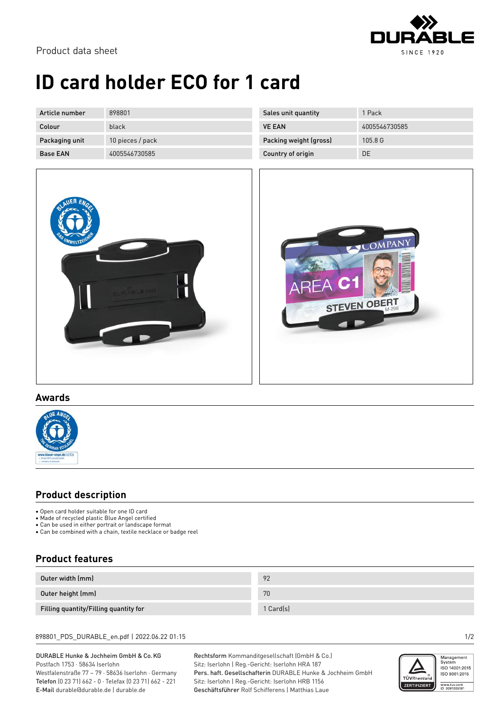

# **ID card holder ECO for 1 card**

| Article number  | 898801           |
|-----------------|------------------|
| Colour          | black            |
| Packaging unit  | 10 pieces / pack |
| <b>Base FAN</b> | 4005546730585    |

| 1 Pack        |
|---------------|
| 4005546730585 |
| 105.8 G       |
| DE.           |
|               |





#### **Awards**



### **Product description**

- Open card holder suitable for one ID card
- Made of recycled plastic Blue Angel certified
- Can be used in either portrait or landscape format
- Can be doed in entire portrait of tandooper critical or badge reel

### **Product features**

| Outer width (mm)                      | 92        |
|---------------------------------------|-----------|
| Outer height (mm)                     | 70        |
| Filling quantity/Filling quantity for | 1 Card(s) |

#### 898801\_PDS\_DURABLE\_en.pdf | 2022.06.22 01:15 1/2

DURABLE Hunke & Jochheim GmbH & Co.KG Postfach 1753 · 58634 Iserlohn Westfalenstraße 77 – 79 · 58636 Iserlohn · Germany Telefon (0 23 71) 662 - 0 · Telefax (0 23 71) 662 - 221 E-Mail durable@durable.de | durable.de

Rechtsform Kommanditgesellschaft (GmbH & Co.) Sitz: Iserlohn | Reg.-Gericht: Iserlohn HRA 187 Pers. haft. Gesellschafterin DURABLE Hunke & Jochheim GmbH Sitz: Iserlohn | Reg.-Gericht: Iserlohn HRB 1156 Geschäftsführer Rolf Schifferens | Matthias Laue